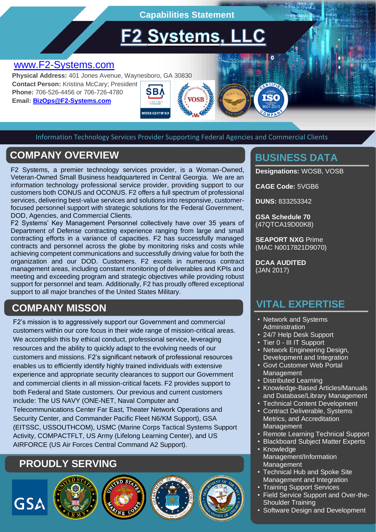**Capabilities Statement**

**F2 Systems, LLC** 

# [www.F2-Systems.com](http://www.f2-systems.com/)

**Physical Address:** 401 Jones Avenue, Waynesboro, GA 30830 **Contact Person:** Kristina McCary; President **Phone:** 706-526-4456 or 706-726-4780 SB/ **Email: [BizOps@F2-Systems.com](mailto:BizOps@F2-Systems.com)**

Information Technology Services Provider Supporting Federal Agencies and Commercial Clients

**NOSR CERTIFIED** 

# **COMPANY OVERVIEW EXAMPLE AND RESOURCE THE BUSINESS DATA**

F2 Systems, a premier technology services provider, is a Woman-Owned, Veteran-Owned Small Business headquartered in Central Georgia. We are an information technology professional service provider, providing support to our customers both CONUS and OCONUS. F2 offers a full spectrum of professional services, delivering best-value services and solutions into responsive, customerfocused personnel support with strategic solutions for the Federal Government, DOD, Agencies, and Commercial Clients.

F2 Systems' Key Management Personnel collectively have over 35 years of Department of Defense contracting experience ranging from large and small contracting efforts in a variance of capacities. F2 has successfully managed contracts and personnel across the globe by monitoring risks and costs while achieving competent communications and successfully driving value for both the organization and our DOD. Customers. F2 excels in numerous contract management areas, including constant monitoring of deliverables and KPIs and meeting and exceeding program and strategic objectives while providing robust support for personnel and team. Additionally, F2 has proudly offered exceptional support to all major branches of the United States Military.

# **COMPANY MISSON**

F2's mission is to aggressively support our Government and commercial customers within our core focus in their wide range of mission-critical areas. We accomplish this by ethical conduct, professional service, leveraging resources and the ability to quickly adapt to the evolving needs of our customers and missions. F2's significant network of professional resources enables us to efficiently identify highly trained individuals with extensive experience and appropriate security clearances to support our Government and commercial clients in all mission-critical facets. F2 provides support to both Federal and State customers. Our previous and current customers include: The US NAVY (ONE-NET, Naval Computer and Telecommunications Center Far East, Theater Network Operations and Security Center, and Commander Pacific Fleet N6/KM Support), GSA (EITSSC, USSOUTHCOM), USMC (Marine Corps Tactical Systems Support Activity, COMPACTFLT, US Army (Lifelong Learning Center), and US AIRFORCE (US Air Forces Central Command A2 Support).

# **PROUDLY SERVING**









**Designations:** WOSB, VOSB

**CAGE Code:** 5VGB6

**DUNS:** 833253342

**GSA Schedule 70** (47QTCA19D00K8)

**SEAPORT NXG** Prime (MAC N0017821D9070)

**DCAA AUDITED** (JAN 2017)

### **VITAL EXPERTISE**

- Network and Systems Administration
- 24/7 Help Desk Support
- Tier 0 III IT Support
- Network Engineering Design, Development and Integration
- Govt Customer Web Portal Management
- Distributed Learning
- Knowledge-Based Articles/Manuals and Database/Library Management
- **Technical Content Development**
- Contract Deliverable, Systems Metrics, and Accreditation **Management**
- Remote Learning Technical Support
- Blackboard Subject Matter Experts **Knowledge** 
	- Management/Information **Management**
	- Technical Hub and Spoke Site Management and Integration
	- Training Support Services
	- Field Service Support and Over-the-Shoulder Training
	- Software Design and Development